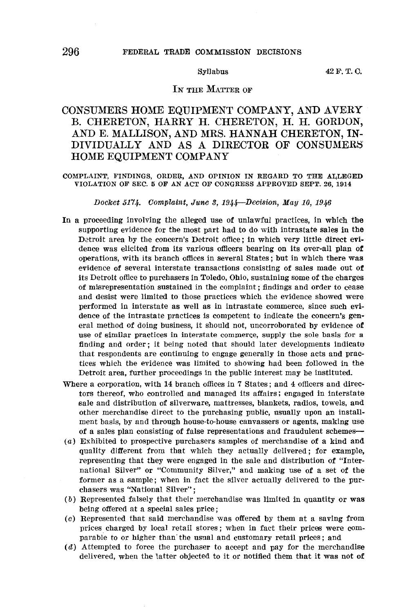## 296 FEDERAL TRADE COMMISSION DECISIONS

 $Syllabus$   $42 F. T. C.$ 

# IN THE MATTER OF

# CONSUMERS HOME EQUIPMENT COMPANY, AND AVERY B. CHERETON, HARRY H. CHERETON, H. H. GORDON, AND E. MALLISON, AND MRS. HANNAH CHERETON, IN-DIVIDUALLY AND AS A DIRECTOR OF CONSUMERS' HOME EQUIPMENT COMPANY

COMPLAINT, FINDINGS, ORDER, AND OPINION IN REGARD TO THE ALLEGED VIOLATION OF SEC. 5 OF AN ACT OF CONGRESS APPROVED SEPT. 26, 1914

Docket 5174. Complaint, June 3, 1944-Decision, May 10, 1946

- In a proceeding involving the alleged use of unlawful practices, in which the supporting evidence for the most part had to do with intrastate sales in the Detroit area by the concern's Detroit office; in which very little direct evidence was elicited from its various officers bearing on its over-all plan **of**  operations, with its branch offices in several States; but in which there was evidence of several interstate transactions consisting of sales made out **of**  its Detroit office to purchasers in Toledo, Ohio, sustaining some of the charges of misrepresentation sustained in the complaint; findings and order to cease and desist were limited to those practices which the evidence showed were performed in interstate as well as in intrastate commerce, since such evidence of the intrastate practices is competent to indicate the concern's general method of doing business, it should not, uncorroborated by evidence of use of similar practices in interstate commerce, supply the sole basis for a finding and order; it being noted that should later developments indicatu that respondents are continuing to engage generally in those acts and practices which the evidence was limited to showing had been followed in the Detroit area, further proceedings in the public interest may be instituted.
- Where a corporation, with 14 branch offices in 7 States; and 4 officers and directors thereof, who controlled and managed its affairs; engaged in interstate sale and distribution of silverware, mattresses, blankets, radios, towels, and other merchandise direct to the purchasing public, usually upon an installment basis, by and through house-to-house canvassers or agents, making use of a sales plan consisting of false representations and fraudulent schemes-
- (a) Exhibited to prospective purchasers samples of merchandise of a kind and quality different from that which they actually delivered; for example, representing that they were engaged in the sale and distribution of "International Silver" or "Community Silver," and making use of a set of the former as a sample; when in fact the silver actually delivered to the purchasers was "National Silver";
- ( b) Represented falsely that their merchandise was limited in quantity or was being offered at a special sales price;
- (c) Represented that said merchandise was offered by them at a saving from prices. charged by local retail stores ; when in fact their prices were comparable to or higher than the usual and customary retail prices; and
- (d) Attempted to force the purchaser to accept and pay for the merchandise delivered, when the latter objected to it or notified them that it was not of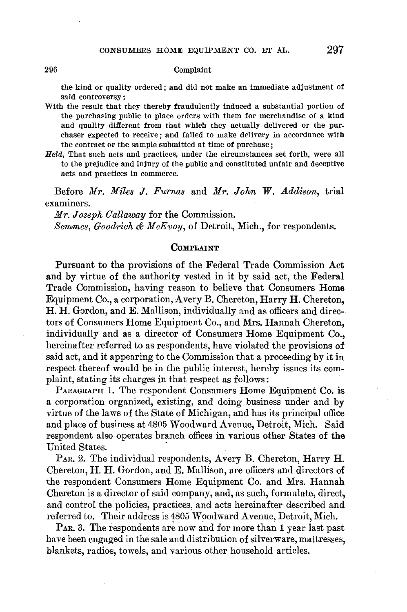### 296 Complaint

the kind or quality ordered; and did not make an immediate adjustment of said controversy;

- With the result that they thereby fraudulently induced a substantial portion of the purchasing public to place orders with them for merchandise of a kind and quality different from that which they actually delivered or the pur. chaser expected to receive; and failed to make delivery in accordance **with**  the contract or the sample submitted at time of purchase;
- *Held,* That such acts and practices, under the circumstances set forth, were all to the prejudice and injury of the public and constituted unfair and deceptive acts and practices in commerce.

Before *Mr. Miles J. Furnas* and *Mr. John W. Addison*, trial examiners.

*Mr. Joseph O allaway* for the Commission. *Semmes, Goodrich & M oEvoy,* of Detroit, Mich., for respondents.

# **COMPLAINT**

Pursuant to the provisions of the Federal Trade Commission Act and by virtue of the authority vested in it by said act, the Federal Trade Commission, having reason to believe that Consumers Home Equipment Co., a corporation, Avery B. Chereton, Harry **H.** Chereton, H. H. Gordon, and E. Mallison, individually and as officers and directors of Consumers Home Equipment Co., and Mrs. Hannah Chereton, individually and as a director of Consumers Home Equipment Co., hereinafter referred to as respondents, have violated the provisions **of**  said act, and it appearing to the Commission that a proceeding by it in respect thereof would be in the public interest, hereby issues its complaint, stating its charges in that respect as follows:

PARAGRAPH 1. The respondent Consumers Home Equipment Co. is a corporation organized, existing, and doing business under and by virtue of the laws of the State of Michigan, and has its principal office and place of business at 4805 Woodward Avenue, Detroit, Mich. Said respondent also operates branch offices in various other States of **the**  United States.

PAR. 2. The individual respondents, Avery B. Chereton, Harry **H.**  Chereton, H. H. Gordon, and E. Mallison, are officers and directors of the respondent Consumers Home Equipment Co. and Mrs. Hannah Chereton is a director of said company, and, as such, formulate, direct, and control the policies, practices, and acts hereinafter described and referred to. Their address is 4805 Woodward Avenue, Detroit, Mich.

P<sub>AR</sub>, 3. The respondents are now and for more than 1 year last past have been engaged in the sale and distribution of silverware, mattresses, blankets, radios, towels, and various other- household articles.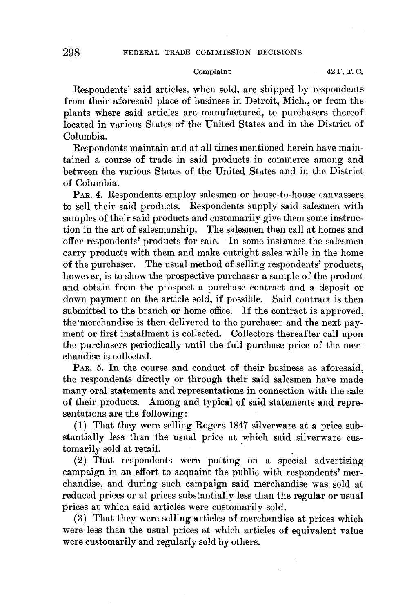Respondents' said articles, when sold, are shipped by respondents from their aforesaid place of business in Detroit, Mich., or from the plants where said articles are manufactured, to purchasers thereof located in various States of the United States and in the District of Columbia.

Respondents maintain and at all times mentioned herein have maintained a course of trade in said products in commerce among and between the various States of the United States and in the District of Columbia.

PAR. 4. Respondents employ salesmen or house-to-house canvassers to sell their said products. Respondents supply said salesmen with samples of their said products and customarily give them some instruction in the art of salesmanship. The salesmen then call at homes and offer respondents' products for sale. In some instances the salesmen carry products with them and make outright sales while in the home of the purchaser. The usual method of selling respondents' products, however, is to show the prospective purchaser a sample of the product and obtain from the prospect a purchase contract and a deposit or down payment on the article sold, if possible. Said contract is then submitted to the branch or home office. If the contract is approved, the merchandise is then delivered to the purchaser and the next payment or first installment is collected. Collectors thereafter call upon the purchasers periodically until the full purchase price of the merchandise is collected.

PAR. 5. In the course and conduct of their business as aforesaid, the respondents directly or through their said salesmen have made many oral statements and representations in connection with the sale of their products. Among and typical of said statements and representations are the following:

(1) That they were selling Rogers 1847 silverware at a price substantially less than the usual price at which said silverware customarily sold at retail.

(2) That respondents were putting on a special advertising campaign in an effort to acquaint the public with respondents' merchandise, and during such campaign said merchandise was sold at reduced prices or at prices substantially less than the regular or usual prices at which said articles were customarily sold.

(3) That they were selling articles of merchandise at prices which were less than the usual prices at which articles of equivalent value were customarily and regularly sold by others.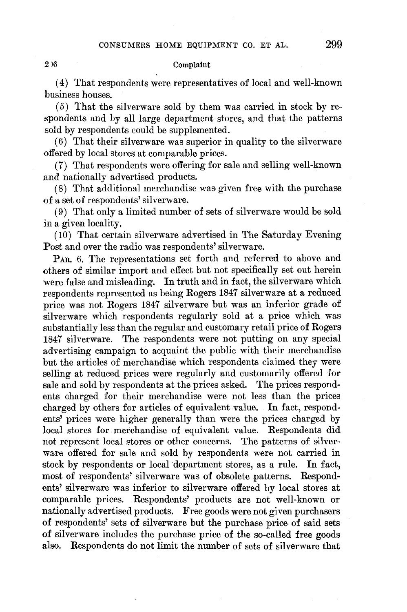### 2)6 Complaint

( 4) That respondents were representatives of local and well-known business houses.

( 5) That the silverware sold by them was carried in stock by respondents and by all large department stores, and that the patterns sold by respondents could be supplemented.

(6) That their silverware was superior in quality to the silverware offered by local stores at comparable prices.

(7) That respondents were offering for sale and selling well-known .and nationally advertised products.

(8) That additional merchandise was given free with the purchase of a set of respondents' silverware.

(9) That only a limited number of sets of silverware would be sold in a given locality.

(10) That certain silverware advertised in The Saturday Evening Post and over the radio was respondents' silverware.

PAR. 6. The representations set forth and referred to above and others of similar import and effect but not specifically set out herein were false and misleading. In truth and in fact, the silverware which respondents represented as being Rogers 1847 silverware at a reduced price was not Rogers 1847 silverware but was an inferior grade of silverware which respondents regularly sold at a price which was substantially less than the regular and customary retail price of Rogers 1847 silverware. The respondents were not putting on any special advertising campaign to acquaint the public with their merchandise but the articles of merchandise which respondents claimed they were selling at reduced prices were regularly and customarily offered for sale and sold by respondents at the prices asked. The prices respondents charged for their merchandise were not less than the prices charged by others for articles of equivalent value. In fact, respondents' prices were higher generally than were the prices charged by local stores for merchandise of equivalent value. Respondents did not represent local stores or other concerns. The patterns of silverware offered for sale and sold by respondents were not carried in stock by respondents or local department stores, as a rule. In fact, most of respondents' silverware was of obsolete patterns. Respondents' silverware was inferior to silverware offered by local stores at comparable prices. Respondents' products are not well-known or nationally advertised products. Free goods were not given purchasers of respondents' sets of silverware but the purchase price of said sets of silverware includes the purchase price of the so-called free goods also. Respondents do not limit the number of sets of silverware that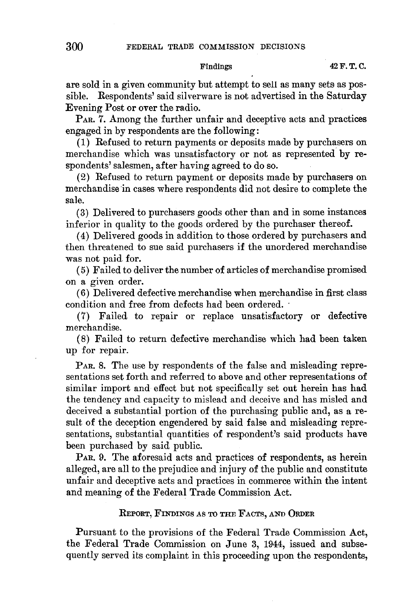are sold in a given community but attempt to sell as many sets as possible. Respondents' said silverware is not advertised in the Saturday Evening Post or over the radio.

PAR. 7. Among the further unfair and deceptive acts and practices engaged in by respondents are the following:

( 1) Refused to return payments or deposits made by purchasers on merchandise which was unsatisfactory or not as represented by respondents' salesmen, after having agreed to do so.

(2) Refused to return payment or deposits made by purchasers on merchandise in cases where respondents did not desire to complete the sale.

(3) Delivered to purchasers goods other than and in some instances inferior in quality to the goods ordered by the purchaser thereof.

( 4) Delivered goods in addition to those ordered by purchasers and then threatened to sue said purchasers if the unordered merchandise was not paid for.

( 5) Failed to deliver the number of articles of merchandise promised on a given order.

(6) Delivered defective merchandise when merchandise in first class condition and free from defects had been ordered. ·

(7) Failed to repair or replace unsatisfactory or defective merchandise.

(8) Failed to return defective merchandise which had been taken up for repair.

PAR. 8. The use by respondents of the false and misleading representations set forth and referred to above and other representations of similar import and effect but not specifically set out herein has had the tendency and capacity to mislead and deceive and has misled and deceived a substantial portion of the purchasing public and, as a result of the deception engendered by said false and misleading representations, substantial quantities of respondent's said products have been purchased by said public.

PAR. 9. The aforesaid acts and practices of respondents, as herein alleged, are all to the prejudice and injury of the public and constitute unfair and deceptive acts and practices in commerce within the intent and meaning of the Federal Trade Commission Act.

# REPORT, FINDINGS AS TO THE FACTS, AND ORDER

Pursuant to the provisions of the Federal Trade Commission Act, the Federal Trade Commission on June 3, 1944, issued and subsequently served its complaint in this proceeding upon the respondents,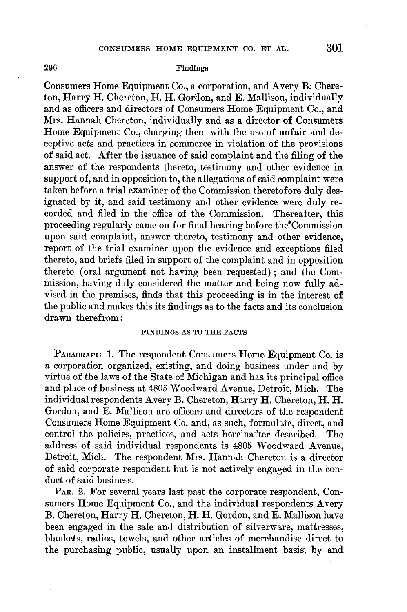### 296 Findings

Consumers Home Equipment Co., a corporation, and A very *B:* Chereton, Harry H. Chereton, H. H. Gordon, and E. Mallison, individually and as officers and directors of Consumers Home Equipment Co., and Mrs. Hannah Chereton, individually and as a director of Consumers Home Equipment Co., charging them with the use of unfair and deceptive acts and practices in commerce in violation of the provisions of said act. After the issuance of said complaint and the filing of the answer of the respondents thereto, testimony and other evidence in support of, and in opposition to, the allegations of said complaint were taken before a trial examiner of the Commission theretofore duly designated by it, and said testimony and other evidence were duly recorded and filed in the office of the Commission. Thereafter, this proceeding regularly came on for final hearing before the'Commission upon said complaint, answer thereto, testimony and other evidence, report of the trial examiner upon the evidence and exceptions filed thereto, and briefs filed in support of the complaint and in opposition thereto ( oral argument not having been requested); and the Commission, having duly considered the matter and being now fully advised in the premises, finds that this proceeding is in the interest of the public and makes this its findings as to the facts and its conclusion drawn therefrom:

### FINDINGS AS TO THE FACTS

PARAGRAPH 1. The respondent Consumers Home Equipment Co. is a corporation organized, existing, and doing business under and by virtue of the laws of the State of Michigan and has its principal office and place of business at 4805 Woodward A venue, Detroit, Mich. The individual respondents Avery B. Chereton, Harry **H.** Chereton, **H. H.**  Gordon, and E. Mallison are officers and directors of the respondent Consumers Home Equipment Co. and, as such, formulate, direct, and control the policies, practices, and acts hereinafter described. The address of said individual respondents is 4805 Woodward Avenue. Detroit, Mich. The respondent Mrs. Hannah Chereton is a director of said corporate respondent but is not actively engaged in the conduct of said business.

PAR. 2. For several years last past the corporate respondent, Consumers Home Equipment Co., and the individual respondents Avery B. Chereton, Harry **H.** Chereton, **H. H.** Gordon, and E. Mallison have been engaged in the sale and distribution of silverware, mattresses, blankets, radios, towels, and other articles of merchandise direct to the purchasing public, usually upon an installment basis, by and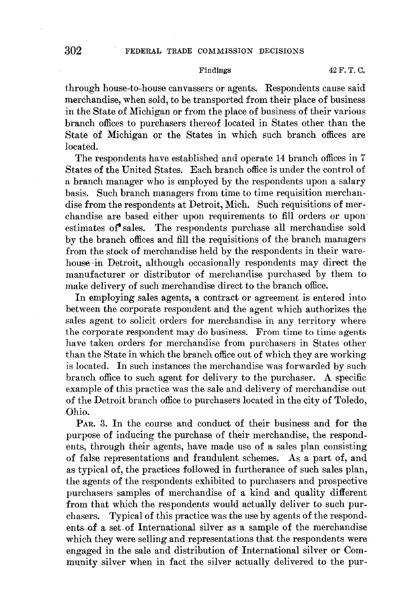through house-to-house canvassers or agents. Respondents cause said merchandise, when sold, to be transported from their place of business in the State of Michigan or from the place of business of their various branch offices to purchasers thereof located in States other than the State of Michigan or the States in which such branch offices are located.

The respondents have established and operate 14 branch offices in 7 States of the United States. Each branch office is under the control of a branch manager who is employed by the respondents upon a salary basis. Such branch managers from time to time requisition merchandise from the respondents at Detroit, Mich. Such requisitions of merchandise are based either upon requirements to fill orders or upon· estimates **of'** sales. The respondents purchase all merchandise sold by the branch offices and fill the requisitions of the branch managers from the stock of merchandise held by the respondents in their warehouse ·in Detroit, although occasionally respondents may direct the manufacturer or distributor of merchandise purchased by them to make delivery of such merchandise direct to the branch office.

In employing sales agents, a contract or agreement is entered into between the corporate respondent and the agent which authorizes the sales agent to solicit orders for merchandise in any territory where the corporate respondent may do business. From time to time agents have taken orders for merchandise from purchasers in States other than the State in which the branch office out of which they are working is located. In such instances the merchandise was forwarded by such branch office to such agent for delivery to the purchaser. A specific example of this practice was the sale and delivery of merchandise out of the Detroit branch office to purchasers located in the city of Toledo, Ohio.

PAR. 3. In the course and conduct of their business and for the purpose of inducing the purchase of their merchandise, the respondents, through their agents, have made use of a sales plan consisting of false representations and fraudulent schemes. As a part of, and as typical of, the practices followed in furtherance of such sales plan, the agents of the respondents exhibited to purchasers and prospective purchasers samples of merchandise of a kind and quality different from that which the respondents would actually deliver to such purchasers. Typical of this practice was the use by agents of the respondents of a set of International silver as a sample of the merchandise which they were selling and representations that the respondents were engaged in the sale and distribution of International silver or Community silver when in fact the silver actually delivered to the pur-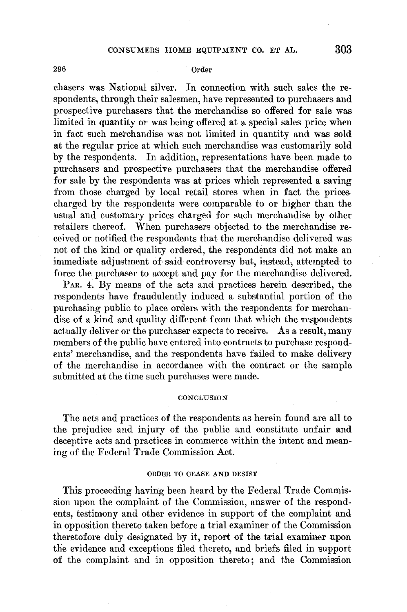### 296 Order

chasers was National silver. In connection with such sales the respondents, through their salesmen, have represented to purchasers and prospective purchasers that the merchandise so offered for sale was limited in quantity or was being offered at a special sales price when in fact such merchandise was not limited in quantity and was sold at the regular price at which such merchandise was customarily sold by the respondents. In addition, representations have been made to purchasers and prospective purchasers that the merchandise offered for sale by the respondents was at prices which represented a saving from those charged by local retail stores when in fact the prices charged by the respondents were comparable to or higher than the usual and customary prices charged for such merchandise by other retailers thereof. When purchasers objected to the merchandise received or notified the respondents that the merchandise delivered was not of the kind or quality ordered, the respondents did not make an immediate adjustment of said controversy but, instead; attempted to force the purchaser to accept and pay for the merchandise delivered.

PAR. 4. By means of the acts and practices herein described, the respondents have fraudulently induced a substantial portion of the purchasing public to place orders with the respondents for merchandise of a kind and quality different from that which the respondents actually deliver or the purchaser expects to receive. As a result, many members of the public have entered into contracts to purchase respondents' merchandise, and the respondents have failed to make delivery of the merchandise in accordance with the contract or the sample submitted at the time such purchases were made.

### **CONCLUSION**

The acts and practices of the respondents as herein found are all to the prejudice and injury of the public and constitute unfair and deceptive acts and practices in commerce within the intent and meaning of the Federal Trade Commission Act.

### ORDER TO CEASE AND DESIST

This proceeding having been heard by the Federal Trade Commission upon the complaint of the Commission, answer of the respondents, testimony and other evidence in support of the complaint and in opposition thereto taken before a trial examiner of the Commission theretofore duiy designated by it, report of the trial examiner upon the evidence and exceptions filed thereto, and briefs filed in support of the complaint and in opposition thereto; and the Commission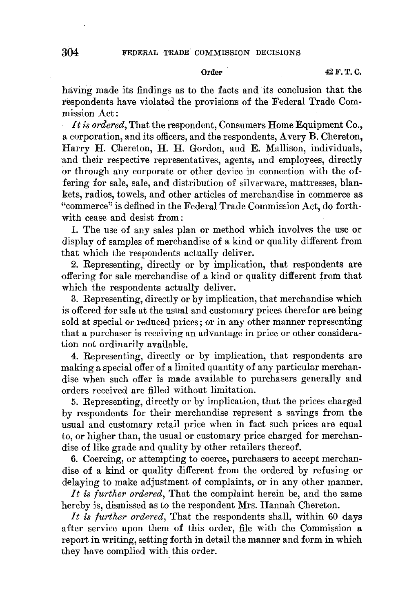having made its findings as to the facts and its conclusion that the respondents have violated the provisions of the Federal Trade Commission Act :

*It is ordered,* That the respondent, Consumers Home Equipment Co., a corporation, and its officers, and the respondents, Avery B. Chereton, Harry **H.** Chereton, **H. H.** Gordon, and E. Mallison, individuals, and their respective representatives, agents, and employees, directly or through any corporate or other device in connection with the offering for sale, sale, and distribution of silverware, mattresses, blankets, radios, towels, and other articles of merchandise in commerce as "commerce" is defined in the Federal Trade Commission Act, do forthwith cease and desist from:

1. The use of any sales plan or method which involves the use or display of samples of merchandise of a kind or quality different from that which the respondents actually deliver.

2. Representing, directly or by implication, that respondents are offering for sale merchandise of a kind or quality different from that which the respondents actually deliver.

3. Representing, directly or by implication, that merchandise which is offered for sale at the usual and customary prices therefor are being sold at special or reduced prices; or in any other manner representing that a purchaser is receiving an advantage in price or other consideration not ordinarily available.

4. Representing, directly or by implication, that respondents are making a special offer of a limited quantity of any particular merchandise when such offer is made available to purchasers generally and orders received are filled without limitation.

5. Representing, directly or by implication, that the prices charged by respondents for their merchandise represent a savings from the usual and customary retail price when in fact such prices are equal to, or higher than, the usual or customary price charged for merchandise of like grade and quality by other retailers thereof.

6. Coercing, or attempting to coerce, purchasers to accept merchandise of a kind or quality different from the ordered by refusing or delaying to make adjustment of complaints, or in any other manner.

*It is further ordered,* That the complaint herein be, and the same hereby is, dismissed as to the respondent Mrs. Hannah Chereton.

*It is further ordered,* That the respondents shall, within 60 days after service upon them of this order, file with the Commission **a**  report in writing, setting forth in detail the manner and form in which they have complied with this order.